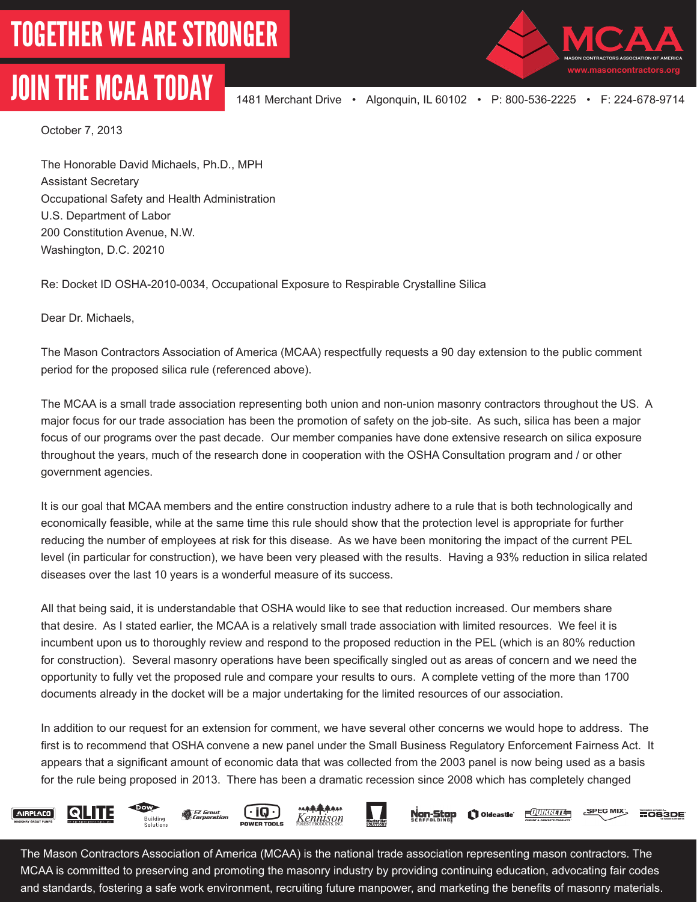## JOIN THE MCAA TODAY 1481 Merchant Drive • Algonquin, IL 60102 • P: 800-536-2225 • F: 224-678-9714



October 7, 2013

The Honorable David Michaels, Ph.D., MPH Assistant Secretary Occupational Safety and Health Administration U.S. Department of Labor 200 Constitution Avenue, N.W. Washington, D.C. 20210

Re: Docket ID OSHA-2010-0034, Occupational Exposure to Respirable Crystalline Silica

Dear Dr. Michaels,

The Mason Contractors Association of America (MCAA) respectfully requests a 90 day extension to the public comment period for the proposed silica rule (referenced above).

The MCAA is a small trade association representing both union and non-union masonry contractors throughout the US. A major focus for our trade association has been the promotion of safety on the job-site. As such, silica has been a major focus of our programs over the past decade. Our member companies have done extensive research on silica exposure throughout the years, much of the research done in cooperation with the OSHA Consultation program and / or other government agencies.

It is our goal that MCAA members and the entire construction industry adhere to a rule that is both technologically and economically feasible, while at the same time this rule should show that the protection level is appropriate for further reducing the number of employees at risk for this disease. As we have been monitoring the impact of the current PEL level (in particular for construction), we have been very pleased with the results. Having a 93% reduction in silica related diseases over the last 10 years is a wonderful measure of its success.

All that being said, it is understandable that OSHA would like to see that reduction increased. Our members share that desire. As I stated earlier, the MCAA is a relatively small trade association with limited resources. We feel it is incumbent upon us to thoroughly review and respond to the proposed reduction in the PEL (which is an 80% reduction for construction). Several masonry operations have been specifically singled out as areas of concern and we need the opportunity to fully vet the proposed rule and compare your results to ours. A complete vetting of the more than 1700 documents already in the docket will be a major undertaking for the limited resources of our association.

In addition to our request for an extension for comment, we have several other concerns we would hope to address. The first is to recommend that OSHA convene a new panel under the Small Business Regulatory Enforcement Fairness Act. It appears that a significant amount of economic data that was collected from the 2003 panel is now being used as a basis for the rule being proposed in 2013. There has been a dramatic recession since 2008 which has completely changed









 $-TUNR2TE$ SPEC MIX <u> Non-Stop</u> Oldcastle' **MOS3DE** 

The Mason Contractors Association of America (MCAA) is the national trade association representing mason contractors. The MCAA is committed to preserving and promoting the masonry industry by providing continuing education, advocating fair codes and standards, fostering a safe work environment, recruiting future manpower, and marketing the benefits of masonry materials.